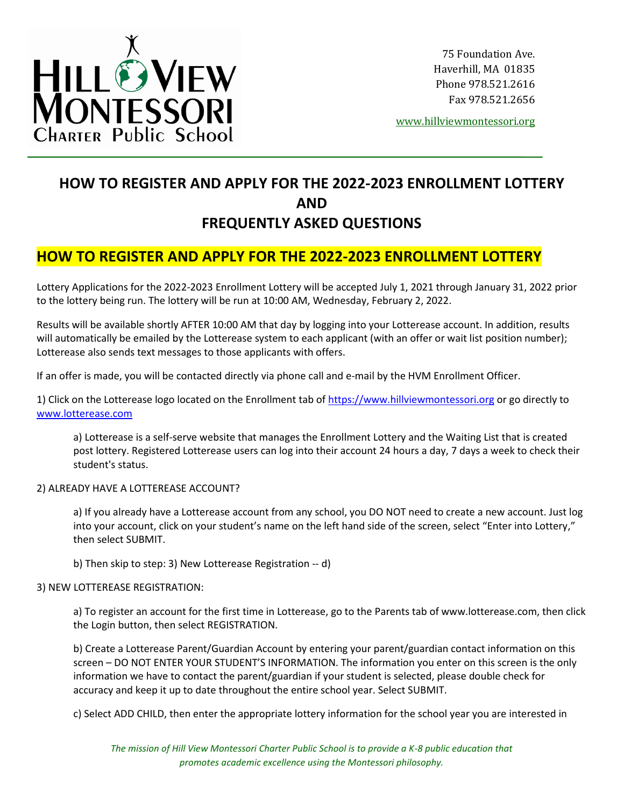

75 Foundation Ave. Haverhill, MA 01835 Phone 978.521.2616 Fax 978.521.2656

[www.hillviewmontessori.org](http://www.hillviewmontessori.org/)

# **HOW TO REGISTER AND APPLY FOR THE 2022-2023 ENROLLMENT LOTTERY AND FREQUENTLY ASKED QUESTIONS**

# **HOW TO REGISTER AND APPLY FOR THE 2022-2023 ENROLLMENT LOTTERY**

Lottery Applications for the 2022-2023 Enrollment Lottery will be accepted July 1, 2021 through January 31, 2022 prior to the lottery being run. The lottery will be run at 10:00 AM, Wednesday, February 2, 2022.

Results will be available shortly AFTER 10:00 AM that day by logging into your Lotterease account. In addition, results will automatically be emailed by the Lotterease system to each applicant (with an offer or wait list position number); Lotterease also sends text messages to those applicants with offers.

If an offer is made, you will be contacted directly via phone call and e-mail by the HVM Enrollment Officer.

1) Click on the Lotterease logo located on the Enrollment tab of [https://www.hillviewmontessori.org](https://www.hillviewmontessori.org/) or go directly to [www.lotterease.com](http://www.lotterease.com/)

a) Lotterease is a self-serve website that manages the Enrollment Lottery and the Waiting List that is created post lottery. Registered Lotterease users can log into their account 24 hours a day, 7 days a week to check their student's status.

# 2) ALREADY HAVE A LOTTEREASE ACCOUNT?

a) If you already have a Lotterease account from any school, you DO NOT need to create a new account. Just log into your account, click on your student's name on the left hand side of the screen, select "Enter into Lottery," then select SUBMIT.

b) Then skip to step: 3) New Lotterease Registration -- d)

# 3) NEW LOTTEREASE REGISTRATION:

a) To register an account for the first time in Lotterease, go to the Parents tab of www.lotterease.com, then click the Login button, then select REGISTRATION.

b) Create a Lotterease Parent/Guardian Account by entering your parent/guardian contact information on this screen – DO NOT ENTER YOUR STUDENT'S INFORMATION. The information you enter on this screen is the only information we have to contact the parent/guardian if your student is selected, please double check for accuracy and keep it up to date throughout the entire school year. Select SUBMIT.

c) Select ADD CHILD, then enter the appropriate lottery information for the school year you are interested in

*The mission of Hill View Montessori Charter Public School is to provide a K-8 public education that promotes academic excellence using the Montessori philosophy.*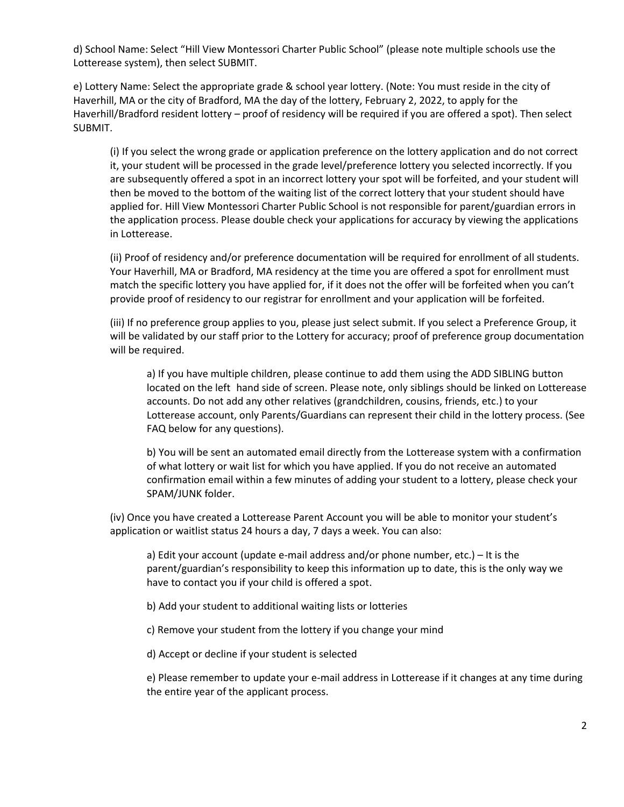d) School Name: Select "Hill View Montessori Charter Public School" (please note multiple schools use the Lotterease system), then select SUBMIT.

e) Lottery Name: Select the appropriate grade & school year lottery. (Note: You must reside in the city of Haverhill, MA or the city of Bradford, MA the day of the lottery, February 2, 2022, to apply for the Haverhill/Bradford resident lottery – proof of residency will be required if you are offered a spot). Then select SUBMIT.

(i) If you select the wrong grade or application preference on the lottery application and do not correct it, your student will be processed in the grade level/preference lottery you selected incorrectly. If you are subsequently offered a spot in an incorrect lottery your spot will be forfeited, and your student will then be moved to the bottom of the waiting list of the correct lottery that your student should have applied for. Hill View Montessori Charter Public School is not responsible for parent/guardian errors in the application process. Please double check your applications for accuracy by viewing the applications in Lotterease.

(ii) Proof of residency and/or preference documentation will be required for enrollment of all students. Your Haverhill, MA or Bradford, MA residency at the time you are offered a spot for enrollment must match the specific lottery you have applied for, if it does not the offer will be forfeited when you can't provide proof of residency to our registrar for enrollment and your application will be forfeited.

(iii) If no preference group applies to you, please just select submit. If you select a Preference Group, it will be validated by our staff prior to the Lottery for accuracy; proof of preference group documentation will be required.

a) If you have multiple children, please continue to add them using the ADD SIBLING button located on the left hand side of screen. Please note, only siblings should be linked on Lotterease accounts. Do not add any other relatives (grandchildren, cousins, friends, etc.) to your Lotterease account, only Parents/Guardians can represent their child in the lottery process. (See FAQ below for any questions).

b) You will be sent an automated email directly from the Lotterease system with a confirmation of what lottery or wait list for which you have applied. If you do not receive an automated confirmation email within a few minutes of adding your student to a lottery, please check your SPAM/JUNK folder.

(iv) Once you have created a Lotterease Parent Account you will be able to monitor your student's application or waitlist status 24 hours a day, 7 days a week. You can also:

a) Edit your account (update e-mail address and/or phone number, etc.) – It is the parent/guardian's responsibility to keep this information up to date, this is the only way we have to contact you if your child is offered a spot.

b) Add your student to additional waiting lists or lotteries

c) Remove your student from the lottery if you change your mind

d) Accept or decline if your student is selected

e) Please remember to update your e-mail address in Lotterease if it changes at any time during the entire year of the applicant process.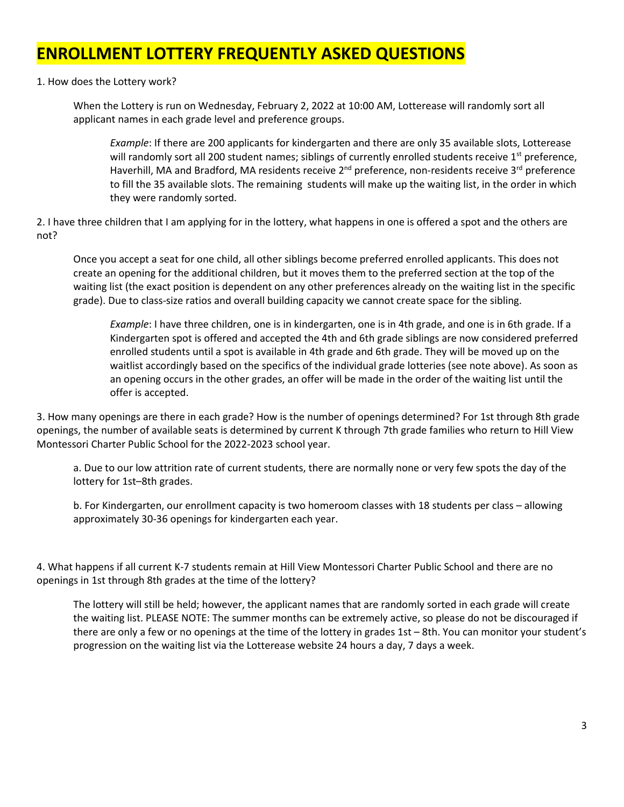# **ENROLLMENT LOTTERY FREQUENTLY ASKED QUESTIONS**

1. How does the Lottery work?

When the Lottery is run on Wednesday, February 2, 2022 at 10:00 AM, Lotterease will randomly sort all applicant names in each grade level and preference groups.

*Example*: If there are 200 applicants for kindergarten and there are only 35 available slots, Lotterease will randomly sort all 200 student names; siblings of currently enrolled students receive 1<sup>st</sup> preference, Haverhill, MA and Bradford, MA residents receive 2<sup>nd</sup> preference, non-residents receive 3<sup>rd</sup> preference to fill the 35 available slots. The remaining students will make up the waiting list, in the order in which they were randomly sorted.

2. I have three children that I am applying for in the lottery, what happens in one is offered a spot and the others are not?

Once you accept a seat for one child, all other siblings become preferred enrolled applicants. This does not create an opening for the additional children, but it moves them to the preferred section at the top of the waiting list (the exact position is dependent on any other preferences already on the waiting list in the specific grade). Due to class-size ratios and overall building capacity we cannot create space for the sibling.

*Example*: I have three children, one is in kindergarten, one is in 4th grade, and one is in 6th grade. If a Kindergarten spot is offered and accepted the 4th and 6th grade siblings are now considered preferred enrolled students until a spot is available in 4th grade and 6th grade. They will be moved up on the waitlist accordingly based on the specifics of the individual grade lotteries (see note above). As soon as an opening occurs in the other grades, an offer will be made in the order of the waiting list until the offer is accepted.

3. How many openings are there in each grade? How is the number of openings determined? For 1st through 8th grade openings, the number of available seats is determined by current K through 7th grade families who return to Hill View Montessori Charter Public School for the 2022-2023 school year.

a. Due to our low attrition rate of current students, there are normally none or very few spots the day of the lottery for 1st–8th grades.

b. For Kindergarten, our enrollment capacity is two homeroom classes with 18 students per class – allowing approximately 30-36 openings for kindergarten each year.

4. What happens if all current K-7 students remain at Hill View Montessori Charter Public School and there are no openings in 1st through 8th grades at the time of the lottery?

The lottery will still be held; however, the applicant names that are randomly sorted in each grade will create the waiting list. PLEASE NOTE: The summer months can be extremely active, so please do not be discouraged if there are only a few or no openings at the time of the lottery in grades 1st – 8th. You can monitor your student's progression on the waiting list via the Lotterease website 24 hours a day, 7 days a week.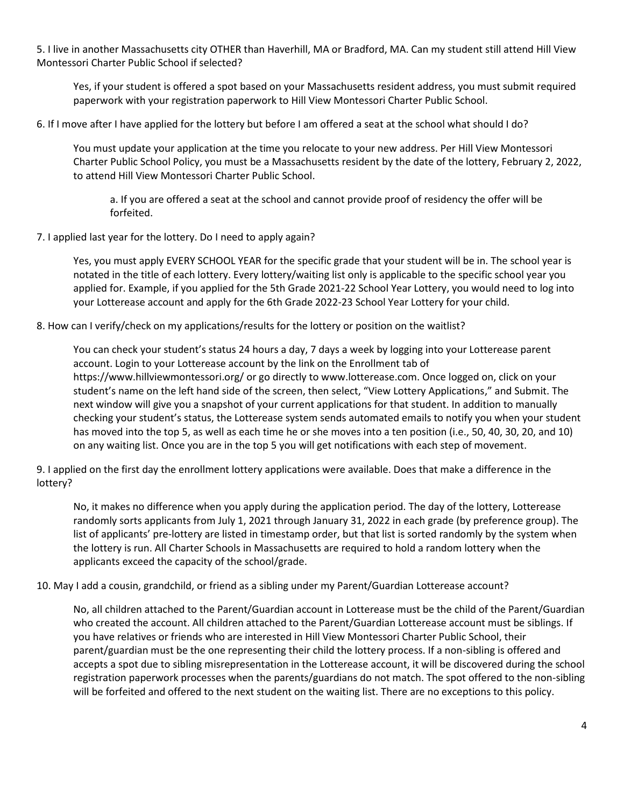5. I live in another Massachusetts city OTHER than Haverhill, MA or Bradford, MA. Can my student still attend Hill View Montessori Charter Public School if selected?

Yes, if your student is offered a spot based on your Massachusetts resident address, you must submit required paperwork with your registration paperwork to Hill View Montessori Charter Public School.

6. If I move after I have applied for the lottery but before I am offered a seat at the school what should I do?

You must update your application at the time you relocate to your new address. Per Hill View Montessori Charter Public School Policy, you must be a Massachusetts resident by the date of the lottery, February 2, 2022, to attend Hill View Montessori Charter Public School.

a. If you are offered a seat at the school and cannot provide proof of residency the offer will be forfeited.

7. I applied last year for the lottery. Do I need to apply again?

Yes, you must apply EVERY SCHOOL YEAR for the specific grade that your student will be in. The school year is notated in the title of each lottery. Every lottery/waiting list only is applicable to the specific school year you applied for. Example, if you applied for the 5th Grade 2021-22 School Year Lottery, you would need to log into your Lotterease account and apply for the 6th Grade 2022-23 School Year Lottery for your child.

8. How can I verify/check on my applications/results for the lottery or position on the waitlist?

You can check your student's status 24 hours a day, 7 days a week by logging into your Lotterease parent account. Login to your Lotterease account by the link on the Enrollment tab of https://www.hillviewmontessori.org/ or go directly to www.lotterease.com. Once logged on, click on your student's name on the left hand side of the screen, then select, "View Lottery Applications," and Submit. The next window will give you a snapshot of your current applications for that student. In addition to manually checking your student's status, the Lotterease system sends automated emails to notify you when your student has moved into the top 5, as well as each time he or she moves into a ten position (i.e., 50, 40, 30, 20, and 10) on any waiting list. Once you are in the top 5 you will get notifications with each step of movement.

9. I applied on the first day the enrollment lottery applications were available. Does that make a difference in the lottery?

No, it makes no difference when you apply during the application period. The day of the lottery, Lotterease randomly sorts applicants from July 1, 2021 through January 31, 2022 in each grade (by preference group). The list of applicants' pre-lottery are listed in timestamp order, but that list is sorted randomly by the system when the lottery is run. All Charter Schools in Massachusetts are required to hold a random lottery when the applicants exceed the capacity of the school/grade.

10. May I add a cousin, grandchild, or friend as a sibling under my Parent/Guardian Lotterease account?

No, all children attached to the Parent/Guardian account in Lotterease must be the child of the Parent/Guardian who created the account. All children attached to the Parent/Guardian Lotterease account must be siblings. If you have relatives or friends who are interested in Hill View Montessori Charter Public School, their parent/guardian must be the one representing their child the lottery process. If a non-sibling is offered and accepts a spot due to sibling misrepresentation in the Lotterease account, it will be discovered during the school registration paperwork processes when the parents/guardians do not match. The spot offered to the non-sibling will be forfeited and offered to the next student on the waiting list. There are no exceptions to this policy.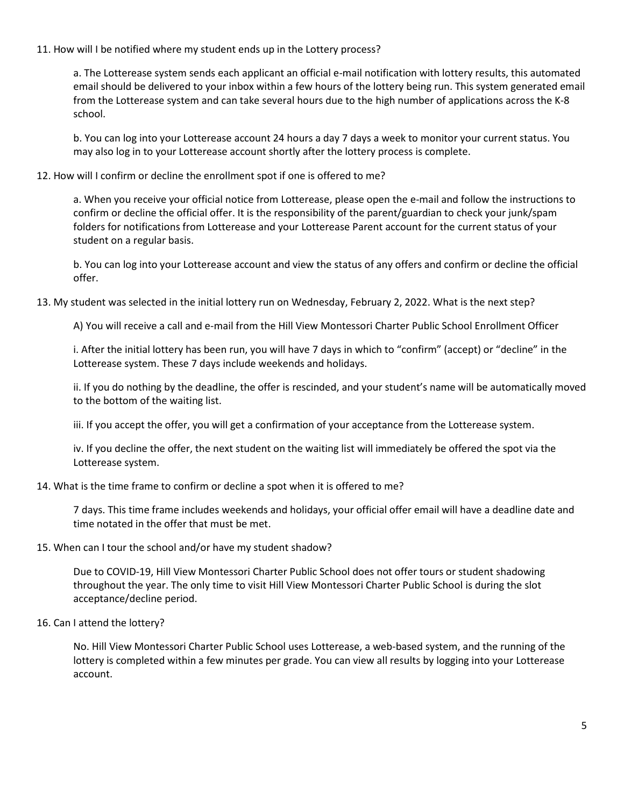### 11. How will I be notified where my student ends up in the Lottery process?

a. The Lotterease system sends each applicant an official e-mail notification with lottery results, this automated email should be delivered to your inbox within a few hours of the lottery being run. This system generated email from the Lotterease system and can take several hours due to the high number of applications across the K-8 school.

b. You can log into your Lotterease account 24 hours a day 7 days a week to monitor your current status. You may also log in to your Lotterease account shortly after the lottery process is complete.

### 12. How will I confirm or decline the enrollment spot if one is offered to me?

a. When you receive your official notice from Lotterease, please open the e-mail and follow the instructions to confirm or decline the official offer. It is the responsibility of the parent/guardian to check your junk/spam folders for notifications from Lotterease and your Lotterease Parent account for the current status of your student on a regular basis.

b. You can log into your Lotterease account and view the status of any offers and confirm or decline the official offer.

#### 13. My student was selected in the initial lottery run on Wednesday, February 2, 2022. What is the next step?

A) You will receive a call and e-mail from the Hill View Montessori Charter Public School Enrollment Officer

i. After the initial lottery has been run, you will have 7 days in which to "confirm" (accept) or "decline" in the Lotterease system. These 7 days include weekends and holidays.

ii. If you do nothing by the deadline, the offer is rescinded, and your student's name will be automatically moved to the bottom of the waiting list.

iii. If you accept the offer, you will get a confirmation of your acceptance from the Lotterease system.

iv. If you decline the offer, the next student on the waiting list will immediately be offered the spot via the Lotterease system.

#### 14. What is the time frame to confirm or decline a spot when it is offered to me?

7 days. This time frame includes weekends and holidays, your official offer email will have a deadline date and time notated in the offer that must be met.

#### 15. When can I tour the school and/or have my student shadow?

Due to COVID-19, Hill View Montessori Charter Public School does not offer tours or student shadowing throughout the year. The only time to visit Hill View Montessori Charter Public School is during the slot acceptance/decline period.

#### 16. Can I attend the lottery?

No. Hill View Montessori Charter Public School uses Lotterease, a web-based system, and the running of the lottery is completed within a few minutes per grade. You can view all results by logging into your Lotterease account.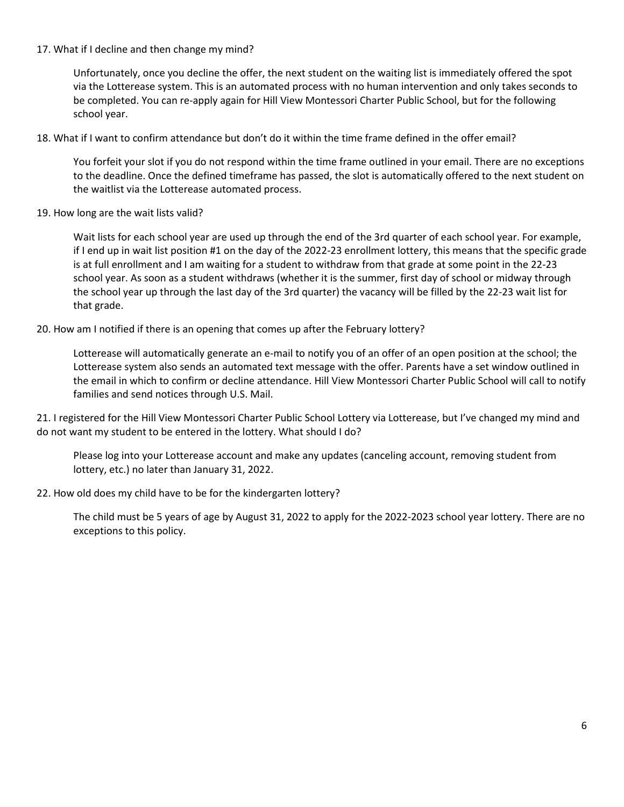# 17. What if I decline and then change my mind?

Unfortunately, once you decline the offer, the next student on the waiting list is immediately offered the spot via the Lotterease system. This is an automated process with no human intervention and only takes seconds to be completed. You can re-apply again for Hill View Montessori Charter Public School, but for the following school year.

18. What if I want to confirm attendance but don't do it within the time frame defined in the offer email?

You forfeit your slot if you do not respond within the time frame outlined in your email. There are no exceptions to the deadline. Once the defined timeframe has passed, the slot is automatically offered to the next student on the waitlist via the Lotterease automated process.

19. How long are the wait lists valid?

Wait lists for each school year are used up through the end of the 3rd quarter of each school year. For example, if I end up in wait list position #1 on the day of the 2022-23 enrollment lottery, this means that the specific grade is at full enrollment and I am waiting for a student to withdraw from that grade at some point in the 22-23 school year. As soon as a student withdraws (whether it is the summer, first day of school or midway through the school year up through the last day of the 3rd quarter) the vacancy will be filled by the 22-23 wait list for that grade.

# 20. How am I notified if there is an opening that comes up after the February lottery?

Lotterease will automatically generate an e-mail to notify you of an offer of an open position at the school; the Lotterease system also sends an automated text message with the offer. Parents have a set window outlined in the email in which to confirm or decline attendance. Hill View Montessori Charter Public School will call to notify families and send notices through U.S. Mail.

21. I registered for the Hill View Montessori Charter Public School Lottery via Lotterease, but I've changed my mind and do not want my student to be entered in the lottery. What should I do?

Please log into your Lotterease account and make any updates (canceling account, removing student from lottery, etc.) no later than January 31, 2022.

# 22. How old does my child have to be for the kindergarten lottery?

The child must be 5 years of age by August 31, 2022 to apply for the 2022-2023 school year lottery. There are no exceptions to this policy.